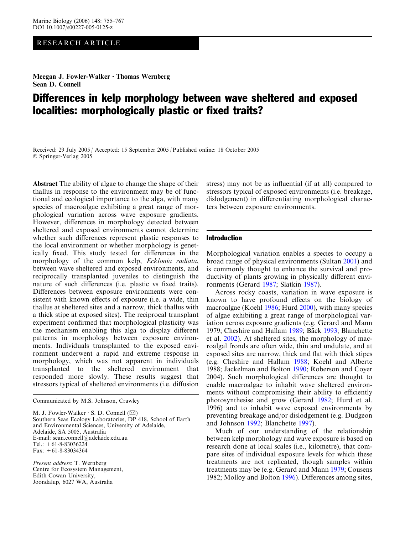# RESEARCH ARTICLE

Meegan J. Fowler-Walker  $\cdot$  Thomas Wernberg Sean D. Connell

# Differences in kelp morphology between wave sheltered and exposed localities: morphologically plastic or fixed traits?

Received: 29 July 2005 / Accepted: 15 September 2005 / Published online: 18 October 2005 Springer-Verlag 2005

Abstract The ability of algae to change the shape of their thallus in response to the environment may be of functional and ecological importance to the alga, with many species of macroalgae exhibiting a great range of morphological variation across wave exposure gradients. However, differences in morphology detected between sheltered and exposed environments cannot determine whether such differences represent plastic responses to the local environment or whether morphology is genetically fixed. This study tested for differences in the morphology of the common kelp, Ecklonia radiata, between wave sheltered and exposed environments, and reciprocally transplanted juveniles to distinguish the nature of such differences (i.e. plastic vs fixed traits). Differences between exposure environments were consistent with known effects of exposure (i.e. a wide, thin thallus at sheltered sites and a narrow, thick thallus with a thick stipe at exposed sites). The reciprocal transplant experiment confirmed that morphological plasticity was the mechanism enabling this alga to display different patterns in morphology between exposure environments. Individuals transplanted to the exposed environment underwent a rapid and extreme response in morphology, which was not apparent in individuals transplanted to the sheltered environment that responded more slowly. These results suggest that stressors typical of sheltered environments (i.e. diffusion

Communicated by M.S. Johnson, Crawley

M. J. Fowler-Walker  $\cdot$  S. D. Connell ( $\boxtimes$ ) Southern Seas Ecology Laboratories, DP 418, School of Earth and Environmental Sciences, University of Adelaide, Adelaide, SA 5005, Australia E-mail: sean.connell@adelaide.edu.au Tel.:  $+61-8-83036224$ Fax: +61-8-83034364

Present address: T. Wernberg Centre for Ecosystem Management, Edith Cowan University, Joondalup, 6027 WA, Australia

stress) may not be as influential (if at all) compared to stressors typical of exposed environments (i.e. breakage, dislodgement) in differentiating morphological characters between exposure environments.

### Introduction

Morphological variation enables a species to occupy a broad range of physical environments (Sultan [2001\)](#page-12-0) and is commonly thought to enhance the survival and productivity of plants growing in physically different environments (Gerard [1987;](#page-11-0) Slatkin [1987](#page-12-0)).

Across rocky coasts, variation in wave exposure is known to have profound effects on the biology of macroalgae (Koehl [1986;](#page-12-0) Hurd [2000\)](#page-11-0), with many species of algae exhibiting a great range of morphological variation across exposure gradients (e.g. Gerard and Mann [1979;](#page-11-0) Cheshire and Hallam [1989;](#page-11-0) Bäck [1993;](#page-11-0) Blanchette et al. [2002\)](#page-11-0). At sheltered sites, the morphology of macroalgal fronds are often wide, thin and undulate, and at exposed sites are narrow, thick and flat with thick stipes (e.g. Cheshire and Hallam [1988;](#page-11-0) Koehl and Alberte [1988;](#page-12-0) Jackelman and Bolton [1990](#page-11-0); Roberson and Coyer [2004\)](#page-12-0). Such morphological differences are thought to enable macroalgae to inhabit wave sheltered environments without compromising their ability to efficiently photosynthesise and grow (Gerard [1982;](#page-11-0) Hurd et al. [1996\)](#page-11-0) and to inhabit wave exposed environments by preventing breakage and/or dislodgement (e.g. Dudgeon and Johnson [1992;](#page-11-0) Blanchette [1997\)](#page-11-0).

Much of our understanding of the relationship between kelp morphology and wave exposure is based on research done at local scales (i.e., kilometre), that compare sites of individual exposure levels for which these treatments are not replicated, though samples within treatments may be (e.g. Gerard and Mann [1979;](#page-11-0) Cousens [1982;](#page-11-0) Molloy and Bolton [1996](#page-12-0)). Differences among sites,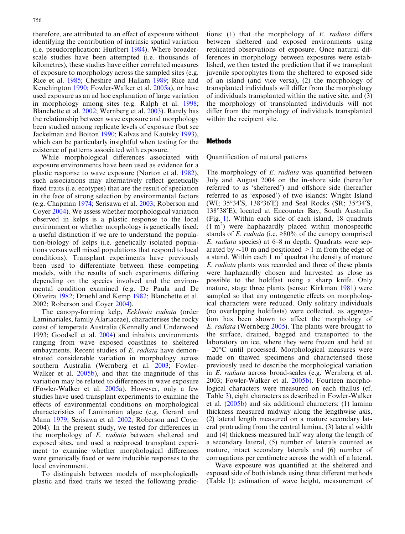therefore, are attributed to an effect of exposure without identifying the contribution of intrinsic spatial variation (i.e. pseudoreplication: Hurlbert [1984\)](#page-11-0). Where broaderscale studies have been attempted (i.e. thousands of kilometres), these studies have either correlated measures of exposure to morphology across the sampled sites (e.g. Rice et al. [1985;](#page-12-0) Cheshire and Hallam [1989](#page-11-0); Rice and Kenchington [1990;](#page-12-0) Fowler-Walker et al. [2005a\)](#page-11-0), or have used exposure as an ad hoc explanation of large variation in morphology among sites (e.g. Ralph et al. [1998](#page-12-0); Blanchette et al. [2002](#page-11-0); Wernberg et al. [2003\)](#page-12-0). Rarely has the relationship between wave exposure and morphology been studied among replicate levels of exposure (but see Jackelman and Bolton [1990](#page-11-0); Kalvas and Kautsky [1993\)](#page-11-0), which can be particularly insightful when testing for the existence of patterns associated with exposure.

While morphological differences associated with exposure environments have been used as evidence for a plastic response to wave exposure (Norton et al. [1982\)](#page-12-0), such associations may alternatively reflect genetically fixed traits (i.e. ecotypes) that are the result of speciation in the face of strong selection by environmental factors (e.g. Chapman [1974;](#page-11-0) Serisawa et al. [2003](#page-12-0); Roberson and Coyer [2004](#page-12-0)). We assess whether morphological variation observed in kelps is a plastic response to the local environment or whether morphology is genetically fixed; a useful distinction if we are to understand the population-biology of kelps (i.e. genetically isolated populations versus well mixed populations that respond to local conditions). Transplant experiments have previously been used to differentiate between these competing models, with the results of such experiments differing depending on the species involved and the environmental condition examined (e.g. De Paula and De Oliveira [1982](#page-11-0); Druehl and Kemp [1982](#page-11-0); Blanchette et al. [2002](#page-11-0); Roberson and Coyer [2004](#page-12-0)).

The canopy-forming kelp, Ecklonia radiata (order Laminariales, family Alariaceae), characterises the rocky coast of temperate Australia (Kennelly and Underwood [1993](#page-11-0); Goodsell et al. [2004](#page-11-0)) and inhabits environments ranging from wave exposed coastlines to sheltered embayments. Recent studies of E. *radiata* have demonstrated considerable variation in morphology across southern Australia (Wernberg et al. [2003;](#page-12-0) Fowler-Walker et al. [2005b\)](#page-11-0), and that the magnitude of this variation may be related to differences in wave exposure (Fowler-Walker et al. [2005a\)](#page-11-0). However, only a few studies have used transplant experiments to examine the effects of environmental conditions on morphological characteristics of Laminarian algae (e.g. Gerard and Mann [1979;](#page-11-0) Serisawa et al. [2002;](#page-12-0) Roberson and Coyer [2004](#page-12-0)). In the present study, we tested for differences in the morphology of E. radiata between sheltered and exposed sites, and used a reciprocal transplant experiment to examine whether morphological differences were genetically fixed or were inducible responses to the local environment.

To distinguish between models of morphologically plastic and fixed traits we tested the following predic-

tions:  $(1)$  that the morphology of  $E$ . *radiata* differs between sheltered and exposed environments using replicated observations of exposure. Once natural differences in morphology between exposures were established, we then tested the prediction that if we transplant juvenile sporophytes from the sheltered to exposed side of an island (and vice versa), (2) the morphology of transplanted individuals will differ from the morphology of individuals transplanted within the native site, and (3) the morphology of transplanted individuals will not differ from the morphology of individuals transplanted within the recipient site.

## Methods

Quantification of natural patterns

The morphology of E. *radiata* was quantified between July and August 2004 on the in-shore side (hereafter referred to as 'sheltered') and offshore side (hereafter referred to as 'exposed') of two islands: Wright Island (WI; 35°34'S, 138°36'E) and Seal Rocks (SR; 35°34'S, 138°38'E), located at Encounter Bay, South Australia (Fig. [1\). Within each side of each island, 18 quadrats](#page-2-0)  $(1 \text{ m}^2)$  $(1 \text{ m}^2)$  $(1 \text{ m}^2)$  $(1 \text{ m}^2)$  were haphazardly placed within monospecific stands of E. radiata (i.e.  $\geq 80\%$  of the canopy comprised E. radiata [species\) at 6–8 m depth. Quadrats were sep](#page-2-0)[arated by](#page-2-0)  $\sim$ [10 m and positioned >1 m from the edge of](#page-2-0) [a](#page-2-0) [stand.](#page-2-0) [Within](#page-2-0) [each](#page-2-0)  $1 \text{ m}^2$  $1 \text{ m}^2$  $1 \text{ m}^2$  $1 \text{ m}^2$  [quadrat the density of mature](#page-2-0) E. radiata [plants was recorded and three of these plants](#page-2-0) [were haphazardly chosen and harvested as close as](#page-2-0) [possible to the holdfast using a sharp knife. Only](#page-2-0) [mature, stage three plants \(sensu: Kirkman](#page-11-0) 1981) were sampled so that any ontogenetic effects on morphological characters were reduced. Only solitary individuals (no overlapping holdfasts) were collected, as aggregation has been shown to affect the morphology of E. radiata (Wernberg [2005\)](#page-12-0). The plants were brought to the surface, drained, bagged and transported to the laboratory on ice, where they were frozen and held at  $-20^{\circ}$ C until processed. Morphological measures were made on thawed specimens and characterised those previously used to describe the morphological variation in E. radiata across broad-scales (e.g. Wernberg et al. [2003;](#page-12-0) Fowler-Walker et al. [2005b](#page-11-0)). Fourteen morphological characters were measured on each thallus (cf. Table [3\), eight characters as described in Fowler-Walker](#page-7-0) [et al. \(2005b](#page-11-0)) and six additional characters: (1) lamina thickness measured midway along the lengthwise axis, (2) lateral length measured on a mature secondary lateral protruding from the central lamina, (3) lateral width and (4) thickness measured half way along the length of a secondary lateral, (5) number of laterals counted as mature, intact secondary laterals and (6) number of corrugations per centimetre across the width of a lateral.

Wave exposure was quantified at the sheltered and exposed side of both islands using three different methods (Table [1\): estimation of wave height, measurement of](#page-2-0)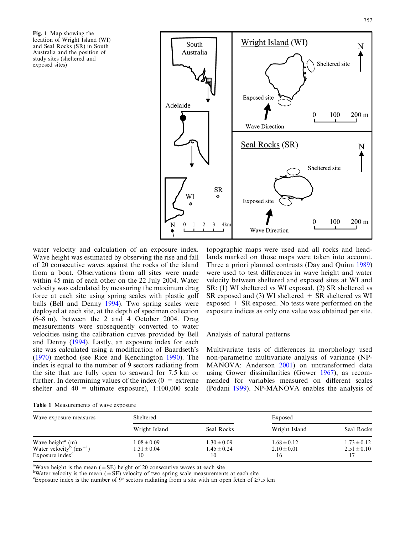<span id="page-2-0"></span>Fig. 1 Map showing the location of Wright Island (WI) and Seal Rocks (SR) in South Australia and the position of study sites (sheltered and exposed sites)



water velocity and calculation of an exposure index. Wave height was estimated by observing the rise and fall of 20 consecutive waves against the rocks of the island from a boat. Observations from all sites were made within 45 min of each other on the 22 July 2004. Water velocity was calculated by measuring the maximum drag force at each site using spring scales with plastic golf [balls \(Bell and Denny](#page-11-0) 1994). Two spring scales were deployed at each site, at the depth of specimen collection (6–8 m), between the 2 and 4 October 2004. Drag measurements were subsequently converted to water velocities using the calibration curves provided by Bell and Denny [\(1994\)](#page-11-0). Lastly, an exposure index for each site was calculated using a modification of Baardseth's ([1970\)](#page-11-0) method (see Rice and Kenchington [1990](#page-12-0)). The index is equal to the number of  $\overline{9}$  sectors radiating from the site that are fully open to seaward for 7.5 km or further. In determining values of the index  $(0 =$  extreme shelter and  $40 =$  ultimate exposure), 1:100,000 scale

topographic maps were used and all rocks and headlands marked on those maps were taken into account. Three a priori planned contrasts (Day and Quinn [1989\)](#page-11-0) were used to test differences in wave height and water velocity between sheltered and exposed sites at WI and SR: (1) WI sheltered vs WI exposed, (2) SR sheltered vs SR exposed and (3) WI sheltered  $+$  SR sheltered vs WI exposed + SR exposed. No tests were performed on the exposure indices as only one value was obtained per site.

## Analysis of natural patterns

Multivariate tests of differences in morphology used non-parametric multivariate analysis of variance (NP-MANOVA: Anderson [2001](#page-11-0)) on untransformed data using Gower dissimilarities (Gower [1967\)](#page-11-0), as recommended for variables measured on different scales (Podani [1999](#page-12-0)). NP-MANOVA enables the analysis of

|  | Table 1 Measurements of wave exposure |  |  |
|--|---------------------------------------|--|--|
|--|---------------------------------------|--|--|

| Wave exposure measures                                                                                           | Sheltered                                |                                          | Exposed                                  |                                    |  |  |
|------------------------------------------------------------------------------------------------------------------|------------------------------------------|------------------------------------------|------------------------------------------|------------------------------------|--|--|
|                                                                                                                  | Wright Island                            | Seal Rocks                               | Wright Island                            | Seal Rocks                         |  |  |
| Wave height <sup>a</sup> $(m)$<br>Water velocity <sup>b</sup> (ms <sup>-1</sup> )<br>Exposure index <sup>c</sup> | $1.08 \pm 0.09$<br>$1.31 \pm 0.04$<br>10 | $1.30 \pm 0.09$<br>$1.45 \pm 0.24$<br>10 | $1.68 \pm 0.12$<br>$2.10 \pm 0.01$<br>16 | $1.73 \pm 0.12$<br>$2.51 \pm 0.10$ |  |  |

<sup>a</sup>Wave height is the mean ( $\pm$ SE) height of 20 consecutive waves at each site

<sup>b</sup>Water velocity is the mean ( $\pm$ SE) velocity of two spring scale measurements at each site

Exposure index is the number of  $9^{\circ}$  sectors radiating from a site with an open fetch of  $\geq$ 7.5 km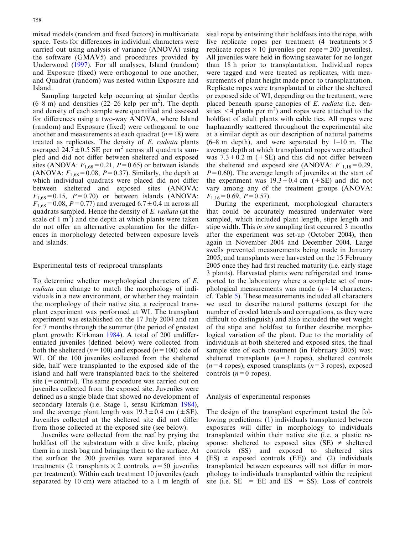mixed models (random and fixed factors) in multivariate space. Tests for differences in individual characters were carried out using analysis of variance (ANOVA) using the software (GMAV5) and procedures provided by Underwood [\(1997\)](#page-12-0). For all analyses, Island (random) and Exposure (fixed) were orthogonal to one another, and Quadrat (random) was nested within Exposure and Island.

Sampling targeted kelp occurring at similar depths  $(6-8 \text{ m})$  and densities  $(22-26 \text{ kelp per m}^2)$ . The depth and density of each sample were quantified and assessed for differences using a two-way ANOVA, where Island (random) and Exposure (fixed) were orthogonal to one another and measurements at each quadrat  $(n=18)$  were treated as replicates. The density of E. radiata plants averaged  $24.7 \pm 0.5$  SE per m<sup>2</sup> across all quadrats sampled and did not differ between sheltered and exposed sites (ANOVA:  $F_{1,68}$  = 0.21,  $P$  = 0.65) or between islands (ANOVA:  $F_{1.68} = 0.08$ ,  $P = 0.37$ ). Similarly, the depth at which individual quadrats were placed did not differ between sheltered and exposed sites (ANOVA:  $F_{1,68}=0.15$ ,  $P=0.70$  or between islands (ANOVA:  $F_{1,68}$  = 0.08, P = 0.77) and averaged 6.7  $\pm$  0.4 m across all quadrats sampled. Hence the density of E. radiata (at the scale of 1  $m^2$ ) and the depth at which plants were taken do not offer an alternative explanation for the differences in morphology detected between exposure levels and islands.

## Experimental tests of reciprocal transplants

To determine whether morphological characters of E. radiata can change to match the morphology of individuals in a new environment, or whether they maintain the morphology of their native site, a reciprocal transplant experiment was performed at WI. The transplant experiment was established on the 17 July 2004 and ran for 7 months through the summer (the period of greatest plant growth: Kirkman [1984](#page-11-0)). A total of 200 undifferentiated juveniles (defined below) were collected from both the sheltered ( $n=100$ ) and exposed ( $n=100$ ) side of WI. Of the 100 juveniles collected from the sheltered side, half were transplanted to the exposed side of the island and half were transplanted back to the sheltered site (=control). The same procedure was carried out on juveniles collected from the exposed site. Juveniles were defined as a single blade that showed no development of secondary laterals (i.e. Stage 1, sensu Kirkman [1984\)](#page-11-0), and the average plant length was  $19.3 \pm 0.4$  cm ( $\pm$ SE). Juveniles collected at the sheltered site did not differ from those collected at the exposed site (see below).

Juveniles were collected from the reef by prying the holdfast off the substratum with a dive knife, placing them in a mesh bag and bringing them to the surface. At the surface the 200 juveniles were separated into 4 treatments (2 transplants  $\times$  2 controls,  $n=50$  juveniles per treatment). Within each treatment 10 juveniles (each separated by 10 cm) were attached to a 1 m length of sisal rope by entwining their holdfasts into the rope, with five replicate ropes per treatment (4 treatments  $\times$  5 replicate ropes  $\times$  10 juveniles per rope = 200 juveniles). All juveniles were held in flowing seawater for no longer than 18 h prior to transplantation. Individual ropes were tagged and were treated as replicates, with measurements of plant height made prior to transplantation. Replicate ropes were transplanted to either the sheltered or exposed side of WI, depending on the treatment, were placed beneath sparse canopies of E. radiata (i.e. densities  $\leq$  4 plants per m<sup>2</sup>) and ropes were attached to the holdfast of adult plants with cable ties. All ropes were haphazardly scattered throughout the experimental site at a similar depth as our description of natural patterns  $(6–8 \text{ m depth})$ , and were separated by  $1–10 \text{ m}$ . The average depth at which transplanted ropes were attached was  $7.3 \pm 0.2$  m ( $\pm$ SE) and this did not differ between the sheltered and exposed site (ANOVA:  $F_{1,18}=0.29$ ,  $P=0.60$ ). The average length of juveniles at the start of the experiment was  $19.3 \pm 0.4$  cm ( $\pm$ SE) and did not vary among any of the treatment groups (ANOVA:  $F_{1,16}=0.69, P=0.57$ .

During the experiment, morphological characters that could be accurately measured underwater were sampled, which included plant length, stipe length and stipe width. This in situ sampling first occurred 3 months after the experiment was set-up (October 2004), then again in November 2004 and December 2004. Large swells prevented measurements being made in January 2005, and transplants were harvested on the 15 February 2005 once they had first reached maturity (i.e. early stage 3 plants). Harvested plants were refrigerated and transported to the laboratory where a complete set of morphological measurements was made  $(n=14 \text{ characters})$ : cf. Table [5\). These measurements included all characters](#page-10-0) [we used to describe natural patterns \(except for the](#page-10-0) [number of eroded laterals and corrugations, as they were](#page-10-0) [difficult to distinguish\) and also included the wet weight](#page-10-0) [of the stipe and holdfast to further describe morpho](#page-10-0)[logical variation of the plant. Due to the mortality of](#page-10-0) [individuals at both sheltered and exposed sites, the final](#page-10-0) [sample size of each treatment \(in February 2005\) was:](#page-10-0) sheltered transplants  $(n=3 \text{ ropes})$ , sheltered controls  $(n=4 \text{ ropes})$ , exposed transplants  $(n=3 \text{ ropes})$ , exposed controls  $(n=0$  ropes).

#### Analysis of experimental responses

The design of the transplant experiment tested the following predictions: (1) individuals transplanted between exposures will differ in morphology to individuals transplanted within their native site (i.e. a plastic response: sheltered to exposed sites (SE)  $\neq$  sheltered controls (SS) and exposed to sheltered sites  $(ES) \neq exposed$  controls  $(EE)$  and  $(2)$  individuals transplanted between exposures will not differ in morphology to individuals transplanted within the recipient site (i.e.  $SE$  =  $EE$  and  $ES$  =  $SS$ ). Loss of controls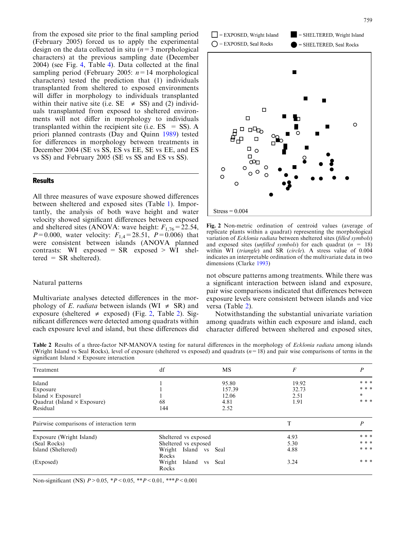from the exposed site prior to the final sampling period (February 2005) forced us to apply the experimental design on the data collected in situ  $(n=3 \text{ morphological})$ characters) at the previous sampling date (December 2004) (see Fig. 4, Table [4\). Data collected at the final](#page-7-0) [sampling period \(February 2005:](#page-7-0)  $n=14$  morphological [characters\) tested the prediction that \(1\) individuals](#page-7-0) [transplanted from sheltered to exposed environments](#page-7-0) [will differ in morphology to individuals transplanted](#page-7-0) within their native site (i.e.  $SE \neq SS$ ) and (2) individ[uals transplanted from exposed to sheltered environ](#page-7-0)[ments will not differ in morphology to individuals](#page-7-0) transplanted within the recipient site (i.e.  $ES = SS$ ). A [priori planned contrasts \(Day and Quinn](#page-11-0) 1989) tested for differences in morphology between treatments in December 2004 (SE vs SS, ES vs EE, SE vs EE, and ES vs SS) and February 2005 (SE vs SS and ES vs SS).

# **Results**

All three measures of wave exposure showed differences between sheltered and exposed sites (Table [1\). Impor](#page-2-0)[tantly, the analysis of both wave height and water](#page-2-0) [velocity showed significant differences between exposed](#page-2-0) [and sheltered sites \(ANOVA: wave height:](#page-2-0)  $F_{1,76} = 22.54$ ,  $P=0.000$ , water velocity:  $F_{1,4}=28.51$ ,  $P=0.006$ ) that [were consistent between islands \(ANOVA planned](#page-2-0) contrasts: WI exposed =  $SR$  exposed > WI sheltered =  $SR$  sheltered).

# Natural patterns

Multivariate analyses detected differences in the morphology of E. *radiata* between islands (WI  $\neq$  SR) and exposure (sheltered  $\neq$  exposed) (Fig. 2, Table 2). Significant differences were detected among quadrats within each exposure level and island, but these differences did





Fig. 2 Non-metric ordination of centroid values (average of replicate plants within a quadrat) representing the morphological variation of Ecklonia radiata between sheltered sites (filled symbols) and exposed sites (*unfilled symbols*) for each quadrat  $(n = 18)$ within WI (triangle) and SR (circle). A stress value of 0.004 indicates an interpretable ordination of the multivariate data in two dimensions (Clarke [1993](#page-11-0))

not obscure patterns among treatments. While there was a significant interaction between island and exposure, pair wise comparisons indicated that differences between exposure levels were consistent between islands and vice versa (Table 2).

Notwithstanding the substantial univariate variation among quadrats within each exposure and island, each character differed between sheltered and exposed sites,

Table 2 Results of a three-factor NP-MANOVA testing for natural differences in the morphology of Ecklonia radiata among islands (Wright Island vs Seal Rocks), level of exposure (sheltered vs exposed) and quadrats  $(n=18)$  and pair wise comparisons of terms in the significant Island  $\times$  Exposure interaction

| Treatment                                | df                   | MS                | F     | P       |
|------------------------------------------|----------------------|-------------------|-------|---------|
| Island                                   |                      | 95.80             | 19.92 | $* * *$ |
| Exposure                                 |                      | 157.39            | 32.73 | * * *   |
| Island $\times$ Exposure1                |                      | 12.06             | 2.51  | $\ast$  |
| Quadrat (Island $\times$ Exposure)       | 68                   | 4.81              | 1.91  | * * *   |
| Residual                                 | 144                  | 2.52              |       |         |
| Pairwise comparisons of interaction term |                      |                   | T     | P       |
| Exposure (Wright Island)                 | Sheltered vs exposed |                   | 4.93  | $* * *$ |
| (Seal Rocks)                             | Sheltered vs exposed |                   | 5.30  | * * *   |
| Island (Sheltered)                       | Wright Island vs     | Seal              | 4.88  | * * *   |
|                                          | Rocks                |                   |       |         |
| (Exposed)                                | Wright<br>Island     | Seal<br><b>VS</b> | 3.24  | * * *   |
|                                          | Rocks                |                   |       |         |

Non-significant (NS)  $P > 0.05$ ,  $*P < 0.05$ ,  $*P < 0.01$ ,  $**P < 0.001$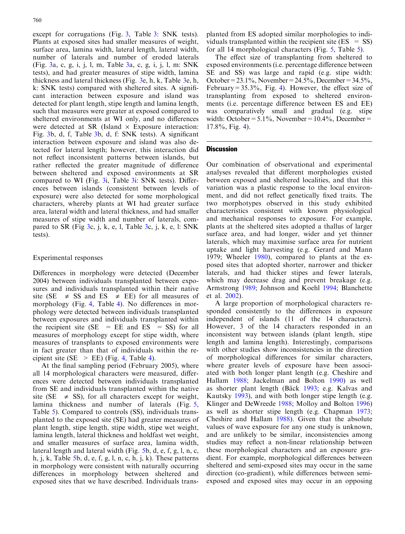except for corrugations (Fig. 3, Table [3: SNK tests\).](#page-7-0) [Plants at exposed sites had smaller measures of weight,](#page-7-0) [surface area, lamina width, lateral length, lateral width,](#page-7-0) [number of laterals and number of eroded laterals](#page-7-0) (Fig. [3a, c, g, i, j, l, m, Table](#page-7-0) 3a, c, g, i, j, l, m: SNK [tests\), and had greater measures of stipe width, lamina](#page-7-0) [thickness and lateral thickness \(Fig.](#page-7-0) 3e, h, k, Table 3e, h, [k: SNK tests\) compared with sheltered sites. A signifi](#page-7-0)[cant interaction between exposure and island was](#page-7-0) [detected for plant length, stipe length and lamina length,](#page-7-0) [such that measures were greater at exposed compared to](#page-7-0) [sheltered environments at WI only, and no differences](#page-7-0) [were detected at SR \(Island](#page-7-0)  $\times$  Exposure interaction: Fig. 3b, d, f, Table [3b, d, f: SNK tests\). A significant](#page-7-0) [interaction between exposure and island was also de](#page-7-0)[tected for lateral length; however, this interaction did](#page-7-0) [not reflect inconsistent patterns between islands, but](#page-7-0) [rather reflected the greater magnitude of difference](#page-7-0) [between sheltered and exposed environments at SR](#page-7-0) compared to WI (Fig. 3i, Table [3i: SNK tests\). Differ](#page-7-0)[ences between islands \(consistent between levels of](#page-7-0) [exposure\) were also detected for some morphological](#page-7-0) [characters, whereby plants at WI had greater surface](#page-7-0) [area, lateral width and lateral thickness, and had smaller](#page-7-0) [measures of stipe width and number of laterals, com](#page-7-0)pared to SR (Fig [3c, j, k, e, l, Table](#page-7-0) 3c, j, k, e, l: SNK [tests\).](#page-7-0)

# Experimental responses

Differences in morphology were detected (December 2004) between individuals transplanted between exposures and individuals transplanted within their native site (SE  $\neq$  SS and ES  $\neq$  EE) for all measures of morphology (Fig. 4, Table [4\). No differences in mor](#page-7-0)[phology were detected between individuals transplanted](#page-7-0) [between exposures and individuals transplanted within](#page-7-0) the recipient site ( $SE$  =  $EE$  and  $ES$  =  $SS$ ) for all [measures of morphology except for stipe width, where](#page-7-0) [measures of transplants to exposed environments were](#page-7-0) [in fact greater than that of individuals within the re](#page-7-0)cipient site (SE  $\ge$  EE) (Fig. 4, Table 4).

At the final sampling period (February 2005), where all 14 morphological characters were measured, differences were detected between individuals transplanted from SE and individuals transplanted within the native site (SE  $\neq$  SS), for all characters except for weight, lamina thickness and number of laterals (Fig. [5,](#page-9-0) Table [5\). Compared to controls \(SS\), individuals trans](#page-10-0)[planted to the exposed site \(SE\) had greater measures of](#page-10-0) [plant length, stipe length, stipe width, stipe wet weight,](#page-10-0) [lamina length, lateral thickness and holdfast wet weight,](#page-10-0) [and smaller measures of surface area, lamina width,](#page-10-0) [lateral length and lateral width \(Fig.](#page-9-0) 5b, d, e, f, g, l, n, c, h, j, k, Table [5b, d, e, f, g, l, n, c, h, j, k\). These patterns](#page-10-0) [in morphology were consistent with naturally occurring](#page-10-0) [differences in morphology between sheltered and](#page-10-0) [exposed sites that we have described. Individuals trans-](#page-10-0) [planted from ES adopted similar morphologies to indi](#page-10-0)viduals transplanted within the recipient site  $(ES = SS)$ [for all 14 morphological characters \(Fig.](#page-10-0) 5, Table 5).

The effect size of transplanting from sheltered to exposed environments (i.e. percentage difference between SE and SS) was large and rapid (e.g. stipe width: October =  $23.1\%$ , November =  $24.5\%$ , December =  $34.5\%$ , February =  $35.3\%$ , Fig. [4\). However, the effect size of](#page-8-0) [transplanting from exposed to sheltered environ](#page-8-0)[ments \(i.e. percentage difference between ES and EE\)](#page-8-0) [was comparatively small and gradual \(e.g. stipe](#page-8-0) width: October =  $5.1\%$ , November =  $10.4\%$ , December = [17.8%, Fig.](#page-8-0) 4).

## **Discussion**

Our combination of observational and experimental analyses revealed that different morphologies existed between exposed and sheltered localities, and that this variation was a plastic response to the local environment, and did not reflect genetically fixed traits. The two morphotypes observed in this study exhibited characteristics consistent with known physiological and mechanical responses to exposure. For example, plants at the sheltered sites adopted a thallus of larger surface area, and had longer, wider and yet thinner laterals, which may maximise surface area for nutrient uptake and light harvesting (e.g. Gerard and Mann [1979;](#page-11-0) Wheeler [1980\)](#page-12-0), compared to plants at the exposed sites that adopted shorter, narrower and thicker laterals, and had thicker stipes and fewer laterals, which may decrease drag and prevent breakage (e.g. Armstrong [1989](#page-11-0); Johnson and Koehl [1994](#page-11-0); Blanchette et al. [2002](#page-11-0)).

A large proportion of morphological characters responded consistently to the differences in exposure independent of islands (11 of the 14 characters). However, 3 of the 14 characters responded in an inconsistent way between islands (plant length, stipe length and lamina length). Interestingly, comparisons with other studies show inconsistencies in the direction of morphological differences for similar characters, where greater levels of exposure have been associated with both longer plant length (e.g. Cheshire and Hallam [1988;](#page-11-0) Jackelman and Bolton [1990](#page-11-0)) as well as shorter plant length (Bäck [1993;](#page-11-0) e.g. Kalvas and Kautsky [1993\)](#page-11-0), and with both longer stipe length (e.g. Klinger and DeWreede [1988;](#page-11-0) Molloy and Bolton [1996\)](#page-12-0) as well as shorter stipe length (e.g. Chapman [1973](#page-11-0); Cheshire and Hallam [1988](#page-11-0)). Given that the absolute values of wave exposure for any one study is unknown, and are unlikely to be similar, inconsistencies among studies may reflect a non-linear relationship between these morphological characters and an exposure gradient. For example, morphological differences between sheltered and semi-exposed sites may occur in the same direction (co-gradient), while differences between semiexposed and exposed sites may occur in an opposing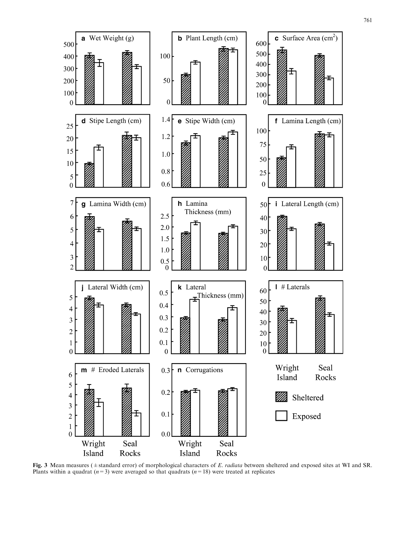

Fig. 3 Mean measures ( $\pm$ standard error) of morphological characters of E. radiata between sheltered and exposed sites at WI and SR. Plants within a quadrat  $(n=3)$  were averaged so that quadrats  $(n=18)$  were treated at replicates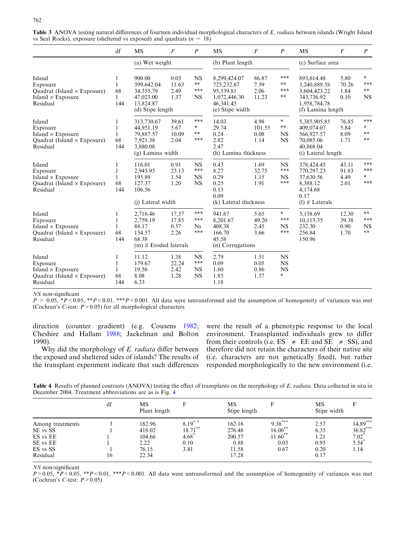|                                                                                                  | df                       | <b>MS</b>                                                                         | $\overline{F}$                 | $\boldsymbol{P}$                           | <b>MS</b>                                                                               | $\boldsymbol{F}$               | $\boldsymbol{P}$                              | MS                                                                                            | $\overline{F}$                 | $\boldsymbol{P}$                        |
|--------------------------------------------------------------------------------------------------|--------------------------|-----------------------------------------------------------------------------------|--------------------------------|--------------------------------------------|-----------------------------------------------------------------------------------------|--------------------------------|-----------------------------------------------|-----------------------------------------------------------------------------------------------|--------------------------------|-----------------------------------------|
|                                                                                                  |                          | (a) Wet weight                                                                    |                                |                                            | (b) Plant length                                                                        |                                |                                               | (c) Surface area                                                                              |                                |                                         |
| Island<br>Exposure<br>Quadrat (Island $\times$ Exposure)<br>Island $\times$ Exposure<br>Residual | 1<br>1<br>68<br>1<br>144 | 900.00<br>399,642.04<br>34, 355. 79<br>47,023.00<br>13,824.87<br>(d) Stipe length | 0.03<br>11.63<br>2.49<br>1.37  | <b>NS</b><br>$**$<br>***<br><b>NS</b>      | 8,299,424.07<br>725,232.67<br>95,539.81<br>1,072,446.30<br>46,341.45<br>(e) Stipe width | 86.87<br>7.59<br>2.06<br>11.23 | ***<br>$\ast\ast$<br>***<br>$\ast\ast$        | 893,614.48<br>3,240,889.58<br>3,604,423.22<br>343,736.92<br>1,958,784.78<br>(f) Lamina length | 5.80<br>70.26<br>1.84<br>0.10  | $\ast$<br>***<br>$**$<br><b>NS</b>      |
| Island<br>Exposure<br>Island $\times$ Exposure<br>Quadrat (Island $\times$ Exposure)<br>Residual | ı<br>1<br>68<br>144      | 313,730.67<br>44,951.19<br>79.887.57<br>7,921.38<br>3,880.08<br>(g) Lamina width  | 39.61<br>5.67<br>10.09<br>2.04 | ***<br>$\ast$<br>$**$<br>***               | 14.03<br>29.74<br>0.24<br>2.82<br>2.47<br>(h) Lamina thickness                          | 4.98<br>101.55<br>0.08<br>1.14 | $\ast$<br>$***$<br><b>NS</b><br><b>NS</b>     | 5,385,905.85<br>409,074.07<br>566,927.57<br>70,085.06<br>40,868.04<br>(i) Lateral length      | 76.85<br>5.84<br>8.09<br>1.71  | ***<br>$\ast$<br>$***$<br>$***$         |
| Island<br>Exposure<br>Island $\times$ Exposure<br>Quadrat (Island $\times$ Exposure)<br>Residual | 1<br>1<br>1<br>68<br>144 | 116.01<br>2.945.95<br>195.89<br>127.37<br>106.56<br>(i) Lateral width             | 0.91<br>23.13<br>1.54<br>1.20  | <b>NS</b><br>***<br><b>NS</b><br><b>NS</b> | 0.43<br>8.27<br>0.29<br>0.25<br>0.13<br>0.09<br>(k) Lateral thickness                   | 1.69<br>32.75<br>1.15<br>1.91  | <b>NS</b><br>***<br><b>NS</b><br>***          | 378,424.45<br>770,297.23<br>37,630.56<br>8,388.12<br>4,174.68<br>0.17<br>$(l)$ # Laterals     | 45.11<br>91.83<br>4.49<br>2.01 | ***<br>***<br>$\ast$<br>***             |
| Island<br>Exposure<br>Island $\times$ Exposure<br>Quadrat (Island $\times$ Exposure)<br>Residual | 1<br>1<br>1<br>68<br>144 | 2,716.46<br>2,759.19<br>88.17<br>154.57<br>68.38<br>$(m)$ # Eroded laterals       | 17.57<br>17.85<br>0.57<br>2.26 | ***<br>***<br><b>Ns</b><br>***             | 941.67<br>8,201.67<br>408.38<br>166.70<br>45.58<br>(n) Corrugations                     | 5.65<br>49.20<br>2.45<br>3.66  | $\ast$<br>***<br><b>NS</b><br>***             | 3,158.69<br>10,113.35<br>232.30<br>256.84<br>150.96                                           | 12.30<br>39.38<br>0.90<br>1.70 | $***$<br>***<br><b>NS</b><br>$\ast\ast$ |
| Island<br>Exposure<br>Island $\times$ Exposure<br>Quadrat (Island $\times$ Exposure)<br>Residual | 1<br>1<br>1<br>68<br>144 | 11.12<br>179.67<br>19.56<br>8.08<br>6.33                                          | 1.38<br>22.24<br>2.42<br>1.28  | <b>NS</b><br>***<br><b>NS</b><br><b>NS</b> | 2.79<br>0.09<br>1.60<br>1.85<br>1.18                                                    | 1.51<br>0.05<br>0.86<br>1.57   | <b>NS</b><br><b>NS</b><br><b>NS</b><br>$\ast$ |                                                                                               |                                |                                         |

<span id="page-7-0"></span>Table 3 ANOVA testing natural differences of fourteen individual morphological characters of E. radiata between islands (Wright Island vs Seal Rocks), exposure (sheltered vs exposed) and quadrats ( $n = 18$ )

NS non-significant

 $P > 0.05$ , \*P < 0.05, \*\*P < 0.01, \*\*\*P < 0.001. All data were untransformed and the assumption of homogeneity of variances was met (Cochran's C-test:  $P > 0.05$ ) for all morphological characters

direction (counter gradient) (e.g. Cousens [1982](#page-11-0); Cheshire and Hallam [1988](#page-11-0); Jackelman and Bolton [1990](#page-11-0)).

Why did the morphology of E. radiata differ between the exposed and sheltered sides of islands? The results of the transplant experiment indicate that such differences were the result of a phenotypic response to the local environment. Transplanted individuals grew to differ from their controls (i.e.  $ES \neq EE$  and  $SE \neq SS$ ), and therefore did not retain the characters of their native site (i.e. characters are not genetically fixed), but rather responded morphologically to the new environment (i.e.

Table 4 Results of planned contrasts (ANOVA) testing the effect of transplants on the morphology of E. radiata. Data collected in situ in December 2004. Treatment abbreviations are as is Fig. [4](#page-8-0)

|                                                                              | df | МS<br>Plant length                                   | F                                               | MS<br>Stipe length                                   | F                                                    | MS<br>Stipe width                            |                                                                     |
|------------------------------------------------------------------------------|----|------------------------------------------------------|-------------------------------------------------|------------------------------------------------------|------------------------------------------------------|----------------------------------------------|---------------------------------------------------------------------|
| Among treatments<br>SE vs SS<br>ES vs EE<br>SE vs EE<br>ES vs SS<br>Residual | 16 | 182.96<br>418.02<br>104.66<br>2.22<br>76.15<br>22.34 | $8.19***$<br>$18.71$ **<br>4.68<br>0.10<br>3.41 | 162.16<br>276.48<br>200.57<br>0.88<br>11.58<br>17.28 | $9.38***$<br>$16.00**$<br>$11.60***$<br>0.05<br>0.67 | 2.57<br>6.35<br>1.21<br>0.95<br>0.20<br>0.17 | $14.89***$<br>$36.82***$<br>$7.02^*$<br>$5.54$ <sup>*</sup><br>1.14 |

NS non-significant

 $P>0.05$ ,  $*P<0.05$ ,  $*P<0.01$ ,  $**P<0.001$ . All data were untransformed and the assumption of homogeneity of variances was met (Cochran's C-test:  $P > 0.05$ )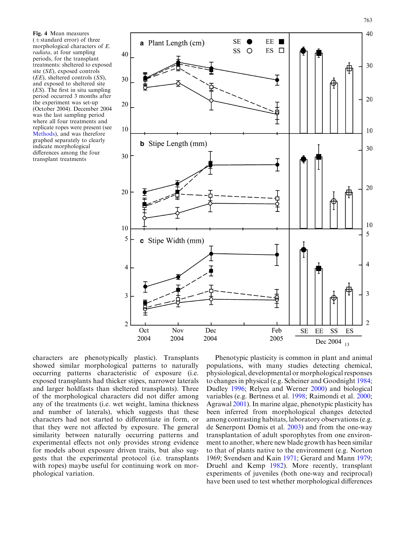<span id="page-8-0"></span>Fig. 4 Mean measures  $(\pm$  standard error) of three morphological characters of E. radiata, at four sampling periods, for the transplant treatments: sheltered to exposed site (SE), exposed controls (EE), sheltered controls (SS), and exposed to sheltered site (ES). The first in situ sampling period occurred 3 months after the experiment was set-up (October 2004). December 2004 was the last sampling period where all four treatments and replicate ropes were present (see Methods), and was therefore graphed separately to clearly indicate morphological differences among the four transplant treatments



characters are phenotypically plastic). Transplants showed similar morphological patterns to naturally occurring patterns characteristic of exposure (i.e. exposed transplants had thicker stipes, narrower laterals and larger holdfasts than sheltered transplants). Three of the morphological characters did not differ among any of the treatments (i.e. wet weight, lamina thickness and number of laterals), which suggests that these characters had not started to differentiate in form, or that they were not affected by exposure. The general similarity between naturally occurring patterns and experimental effects not only provides strong evidence for models about exposure driven traits, but also suggests that the experimental protocol (i.e. transplants with ropes) maybe useful for continuing work on morphological variation.

Phenotypic plasticity is common in plant and animal populations, with many studies detecting chemical, physiological, developmental or morphological responses to changes in physical (e.g. Scheiner and Goodnight [1984](#page-12-0); Dudley [1996](#page-11-0); Relyea and Werner [2000\)](#page-12-0) and biological variables (e.g. Bertness et al. [1998;](#page-11-0) Raimondi et al. [2000](#page-12-0); Agrawal [2001\)](#page-11-0). In marine algae, phenotypic plasticity has been inferred from morphological changes detected among contrasting habitats, laboratory observations (e.g. de Senerpont Domis et al. [2003](#page-11-0)) and from the one-way transplantation of adult sporophytes from one environment to another, where new blade growth has been similar to that of plants native to the environment (e.g. Norton [1969;](#page-12-0) Svendsen and Kain [1971](#page-12-0); Gerard and Mann [1979](#page-11-0); Druehl and Kemp [1982\)](#page-11-0). More recently, transplant experiments of juveniles (both one-way and reciprocal) have been used to test whether morphological differences

763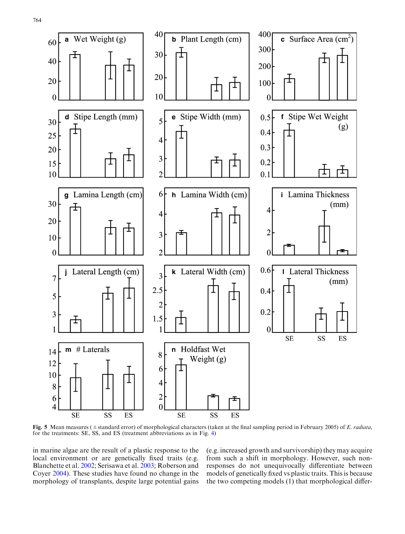<span id="page-9-0"></span>

Fig. 5 Mean measures ( $\pm$ standard error) of morphological characters (taken at the final sampling period in February 2005) of E. radiata. for the treatments: SE, SS, and ES (treatment abbreviations as in Fig. [4\)](#page-8-0)

in marine algae are the result of a plastic response to the local environment or are genetically fixed traits (e.g. Blanchette et al. [2002;](#page-11-0) Serisawa et al. [2003](#page-12-0); Roberson and Coyer [2004\)](#page-12-0). These studies have found no change in the morphology of transplants, despite large potential gains (e.g. increased growth and survivorship) they may acquire from such a shift in morphology. However, such nonresponses do not unequivocally differentiate between models of genetically fixed vs plastic traits. This is because the two competing models (1) that morphological differ-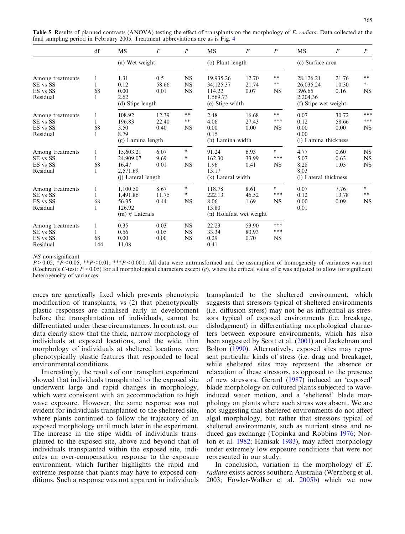<span id="page-10-0"></span>Table 5 Results of planned contrasts (ANOVA) testing the effect of transplants on the morphology of E. radiata. Data collected at the final sampling period in February 2005. Treatment abbreviations are as is Fig. [4](#page-8-0)

|                  | df  | <b>MS</b>          | F     | $\boldsymbol{P}$ | <b>MS</b>               | $\overline{F}$ | $\boldsymbol{P}$ | MS                    | $\overline{F}$ | $\boldsymbol{P}$ |  |
|------------------|-----|--------------------|-------|------------------|-------------------------|----------------|------------------|-----------------------|----------------|------------------|--|
|                  |     | (a) Wet weight     |       |                  | (b) Plant length        |                |                  | (c) Surface area      |                |                  |  |
| Among treatments | 1   | 1.31               | 0.5   | <b>NS</b>        | 19,935.26               | 12.70          | $**$             | 28,126.21             | 21.76          | $**$             |  |
| SE vs SS         |     | 0.12               | 58.66 | <b>NS</b>        | 34,125.37               | 21.74          | $\ast\ast$       | 26,035.24             | 10.30          | $\ast$           |  |
| ES vs SS         | 68  | 0.00               | 0.01  | $_{\rm NS}$      | 114.22                  | 0.07           | <b>NS</b>        | 396.65                | 0.16           | <b>NS</b>        |  |
| Residual         |     | 2.62               |       |                  | 1,569.73                |                |                  | 2,204.36              |                |                  |  |
|                  |     | (d) Stipe length   |       |                  | (e) Stipe width         |                |                  | (f) Stipe wet weight  |                |                  |  |
| Among treatments | 1   | 108.92             | 12.39 | $\ast\ast$       | 2.48                    | 16.68          | **               | 0.07                  | 30.72          | ***              |  |
| SE vs SS         |     | 196.83             | 22.40 | $\ast\ast$       | 4.06                    | 27.43          | ***              | 0.12                  | 58.66          | ***              |  |
| ES vs SS         | 68  | 3.50               | 0.40  | <b>NS</b>        | 0.00                    | 0.00           | <b>NS</b>        | 0.00                  | 0.00           | <b>NS</b>        |  |
| Residual         | 1   | 8.79               |       |                  | 0.15                    |                |                  | 0.00                  |                |                  |  |
|                  |     | (g) Lamina length  |       |                  | (h) Lamina width        |                |                  | (i) Lamina thickness  |                |                  |  |
| Among treatments | 1   | 15,603.21          | 6.07  | $\ast$           | 91.24                   | 6.93           | $\ast$           | 4.77                  | 0.60           | NS               |  |
| SE vs SS         |     | 24.909.07          | 9.69  | $\ast$           | 162.30                  | 33.99          | ***              | 5.07                  | 0.63           | NS               |  |
| ES vs SS         | 68  | 16.47              | 0.01  | <b>NS</b>        | 1.96                    | 0.41           | <b>NS</b>        | 8.28                  | 1.03           | <b>NS</b>        |  |
| Residual         |     | 2.571.69           |       |                  | 13.17                   |                |                  | 8.03                  |                |                  |  |
|                  |     | (j) Lateral length |       |                  | (k) Lateral width       |                |                  | (1) Lateral thickness |                |                  |  |
| Among treatments | 1   | 1.100.50           | 8.67  | $\ast$           | 118.78                  | 8.61           | $\ast$           | 0.07                  | 7.76           | $\ast$           |  |
| SE vs SS         |     | 1,491.86           | 11.75 | $\ast$           | 222.13                  | 46.52          | ***              | 0.12                  | 13.78          | $\ast\ast$       |  |
| ES vs SS         | 68  | 56.35              | 0.44  | <b>NS</b>        | 8.06                    | 1.69           | <b>NS</b>        | 0.00                  | 0.09           | <b>NS</b>        |  |
| Residual         |     | 126.92             |       |                  | 13.80                   |                |                  | 0.01                  |                |                  |  |
|                  |     | $(m)$ # Laterals   |       |                  | (n) Holdfast wet weight |                |                  |                       |                |                  |  |
| Among treatments | 1   | 0.35               | 0.03  | <b>NS</b>        | 22.23                   | 53.90          | ***              |                       |                |                  |  |
| SE vs SS         |     | 0.56               | 0.05  | <b>NS</b>        | 33.34                   | 80.93          | ***              |                       |                |                  |  |
| ES vs SS         | 68  | 0.00               | 0.00  | <b>NS</b>        | 0.29                    | 0.70           | <b>NS</b>        |                       |                |                  |  |
| Residual         | 144 | 11.08              |       |                  | 0.41                    |                |                  |                       |                |                  |  |

NS non-significant

 $P>0.05$ ,  $*P<0.05$ ,  $*P<0.01$ ,  $**P<0.001$ . All data were untransformed and the assumption of homogeneity of variances was met (Cochran's C-test:  $P > 0.05$ ) for all morphological characters except (g), where the critical value of  $\alpha$  was adjusted to allow for significant heterogeneity of variances

ences are genetically fixed which prevents phenotypic modification of transplants, vs (2) that phenotypically plastic responses are canalised early in development before the transplantation of individuals, cannot be differentiated under these circumstances. In contrast, our data clearly show that the thick, narrow morphology of individuals at exposed locations, and the wide, thin morphology of individuals at sheltered locations were phenotypically plastic features that responded to local environmental conditions.

Interestingly, the results of our transplant experiment showed that individuals transplanted to the exposed site underwent large and rapid changes in morphology, which were consistent with an accommodation to high wave exposure. However, the same response was not evident for individuals transplanted to the sheltered site, where plants continued to follow the trajectory of an exposed morphology until much later in the experiment. The increase in the stipe width of individuals transplanted to the exposed site, above and beyond that of individuals transplanted within the exposed site, indicates an over-compensation response to the exposure environment, which further highlights the rapid and extreme response that plants may have to exposed conditions. Such a response was not apparent in individuals transplanted to the sheltered environment, which suggests that stressors typical of sheltered environments (i.e. diffusion stress) may not be as influential as stressors typical of exposed environments (i.e. breakage, dislodgement) in differentiating morphological characters between exposure environments, which has also been suggested by Scott et al. ([2001\)](#page-12-0) and Jackelman and Bolton [\(1990](#page-11-0)). Alternatively, exposed sites may represent particular kinds of stress (i.e. drag and breakage), while sheltered sites may represent the absence or relaxation of these stressors, as opposed to the presence of new stressors. Gerard ([1987](#page-11-0)) induced an 'exposed' blade morphology on cultured plants subjected to waveinduced water motion, and a 'sheltered' blade morphology on plants where such stress was absent. We are not suggesting that sheltered environments do not affect algal morphology, but rather that stressors typical of sheltered environments, such as nutrient stress and reduced gas exchange (Topinka and Robbins [1976](#page-12-0); Norton et al. [1982;](#page-12-0) Hanisak [1983\)](#page-11-0), may affect morphology under extremely low exposure conditions that were not represented in our study.

In conclusion, variation in the morphology of E. radiata exists across southern Australia (Wernberg et al. [2003;](#page-12-0) Fowler-Walker et al. [2005b\)](#page-11-0) which we now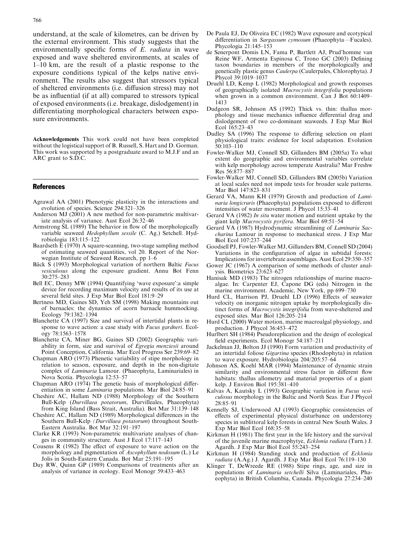<span id="page-11-0"></span>understand, at the scale of kilometres, can be driven by the external environment. This study suggests that the environmentally specific forms of E. *radiata* in wave exposed and wave sheltered environments, at scales of 1–10 km, are the result of a plastic response to the exposure conditions typical of the kelps native environment. The results also suggest that stressors typical of sheltered environments (i.e. diffusion stress) may not be as influential (if at all) compared to stressors typical of exposed environments (i.e. breakage, dislodgement) in differentiating morphological characters between exposure environments.

Acknowledgements This work could not have been completed without the logistical support of B. Russell, S. Hart and D. Gorman. This work was supported by a postgraduate award to M.J.F and an ARC grant to S.D.C.

#### References

- Agrawal AA (2001) Phenotypic plasticity in the interactions and evolution of species. Science 294:321–326
- Anderson MJ (2001) A new method for non-parametric multivariate analysis of variance. Aust Ecol 26:32–46
- Armstrong SL (1989) The behavior in flow of the morphologically variable seaweed Hedophyllum sessile (C. Ag.) Setchell. Hydrobiologia 183:115–122
- Baardseth  $\tilde{E}$  (1970) A square-scanning, two-stage sampling method of estimating seaweed quantities, vol 20. Report of the Norwegian Institute of Seaweed Research, pp 1–6
- Bäck S (1993) Morphological variation of northern Baltic Fucus vesiculosus along the exposure gradient. Annu Bot Fenn 30:275–283
- Bell EC, Denny MW (1994) Quantifying 'wave exposure':a simple device for recording maximum velocity and results of its use at several field sites. J Exp Mar Biol Ecol 181:9–29
- Bertness MD, Gaines SD, Yeh SM (1998) Making mountains out of barnacles: the dynamics of acorn barnacle hummocking. Ecology 79:1382–1394
- Blanchette CA (1997) Size and survival of intertidal plants in response to wave action: a case study with Fucus gardneri. Ecology 78:1563–1578
- Blanchette CA, Miner BG, Gaines SD (2002) Geographic variability in form, size and survival of Egregia menziesii around Point Conception, California. Mar Ecol Progress Ser 239:69–82
- Chapman ARO (1973) Phenetic variability of stipe morphology in relation to season, exposure, and depth in the non-digitate complex of Laminaria Lamour. (Phaeophyta, Laminariales) in Nova Scotia. Phycologia 12:53–57
- Chapman ARO (1974) The genetic basis of morphological differentiation in some Laminaria populations. Mar Biol 24:85–91
- Cheshire AC, Hallam ND (1988) Morphology of the Southern Bull-Kelp (Durvillaea potatorum, Durvilleales, Phaeophyta) from King Island (Bass Strait, Australia). Bot Mar 31:139–148
- Cheshire AC, Hallam ND (1989) Morphological differences in the Southern Bull-Kelp (Durvillaea potatorum) throughout South-Eastern Australia. Bot Mar 32:191–197
- Clarke KR (1993) Non-parametric multivariate analyses of changes in community structure. Aust J Ecol 17:117–143
- Cousens R (1982) The effect of exposure to wave action on the morphology and pigmentation of Ascophyllum nodosum (L.) Le Jolis in South-Eastern Canada. Bot Mar 25:191–195
- Day RW, Quinn GP (1989) Comparisons of treatments after an analysis of variance in ecology. Ecol Monogr 59:433–463
- De Paula EJ, De Oliveira EC (1982) Wave exposure and ecotypical differentiation in *Sargassum cymosum* (Phaeophyta—Fucales). Phycologia 21:145–153
- de Senerpont Domis LN, Fama P, Bartlett AJ, Prud'homme van Reine WF, Armenta Espinosa C, Trono GC (2003) Defining taxon boundaries in members of the morphologically and genetically plastic genus Caulerpa (Caulerpales, Chlorophyta). J Phycol 39:1019–1037
- Druehl LD, Kemp L (1982) Morphological and growth responses of geographically isolated Macrocystis integrifolia populations when grown in a common environment. Can J Bot 60:1409-1413
- Dudgeon SR, Johnson AS (1992) Thick vs. thin: thallus morphology and tissue mechanics influence differential drag and dislodgement of two co-dominant seaweeds. J Exp Mar Biol Ecol 165:23–43
- Dudley SA (1996) The response to differing selection on plant physiological traits: evidence for local adaptation. Evolution 50:103–110
- Fowler-Walker MJ, Connell SD, Gillanders BM (2005a) To what extent do geographic and environmental variables correlate with kelp morphology across temperate Australia? Mar Freshw Res 56:877–887
- Fowler-Walker MJ, Connell SD, Gillanders BM (2005b) Variation at local scales need not impede tests for broader scale patterns. Mar Biol 147:823–831
- Gerard VA, Mann KH (1979) Growth and production of Laminaria longicruris (Phaeophyta) populations exposed to different intensities of water movement. J Phycol 15:33–41
- Gerard VA (1982) In situ water motion and nutrient uptake by the giant kelp Macrocystis pyrifera. Mar Biol 69:51–54
- Gerard VA (1987) Hydrodynamic streamlining of Laminaria Saccharina Lamour in response to mechanical stress. J Exp Mar Biol Ecol 107:237–244
- Goodsell PJ, Fowler-Walker MJ, Gillanders BM, Connell SD (2004) Variations in the configuration of algae in subtidal forests: Implications for invertebrate assemblages. Aust Ecol 29:350–357
- Gower JC (1967) A comparison of some methods of cluster analysis. Biometrics 23:623–627
- Hanisak MD (1983) The nitrogen relationships of marine macroalgae. In: Carpenter EJ, Capone DG (eds) Nitrogen in the marine environment. Academic, New York, pp 699–730
- Hurd CL, Harrison PJ, Druehl LD (1996) Effects of seawater velocity on inorganic nitrogen uptake by morphologically distinct forms of Macrocystis integrifolia from wave-sheltered and exposed sites. Mar Biol 126:205–214
- Hurd CL (2000) Water motion, marine macroalgal physiology, and production. J Phycol 36:453–472
- Hurlbert SH (1984) Pseudoreplication and the design of ecological field experiments. Ecol Monogr 54:187–211
- Jackelman JJ, Bolton JJ (1990) Form variation and productivity of an intertidal foliose Gigartina species (Rhodophyta) in relation to wave exposure. Hydrobiologia 204/205:57–64
- Johnson AS, Koehl MAR (1994) Maintenance of dynamic strain similarity and environmental stress factor in different flow habitats: thallus allometry and material properties of a giant kelp. J Environ Biol 195:381–410
- Kalvas A, Kautsky L (1993) Geographic variation in Fucus vesiculosus morphology in the Baltic and North Seas. Eur J Phycol 28:85–91
- Kennelly SJ, Underwood AJ (1993) Geographic consistencies of effects of experimental physical disturbance on understorey species in sublittoral kelp forests in central New South Wales. J Exp Mar Biol Ecol 168:35–58
- Kirkman H (1981) The first year in the life history and the survival of the juvenile marine macrophytye, Ecklonia radiata (Turn.) J. Agardh. J Exp Mar Biol Ecol 55:243–254
- Kirkman H (1984) Standing stock and production of Ecklonia radiata (A.Ag.) J. Agardh. J Exp Mar Biol Ecol 76:119–130
- Klinger T, DeWreede RE (1988) Stipe rings, age, and size in populations of Laminaria setchelli Silva (Laminariales, Phaeophyta) in British Columbia, Canada. Phycologia 27:234–240